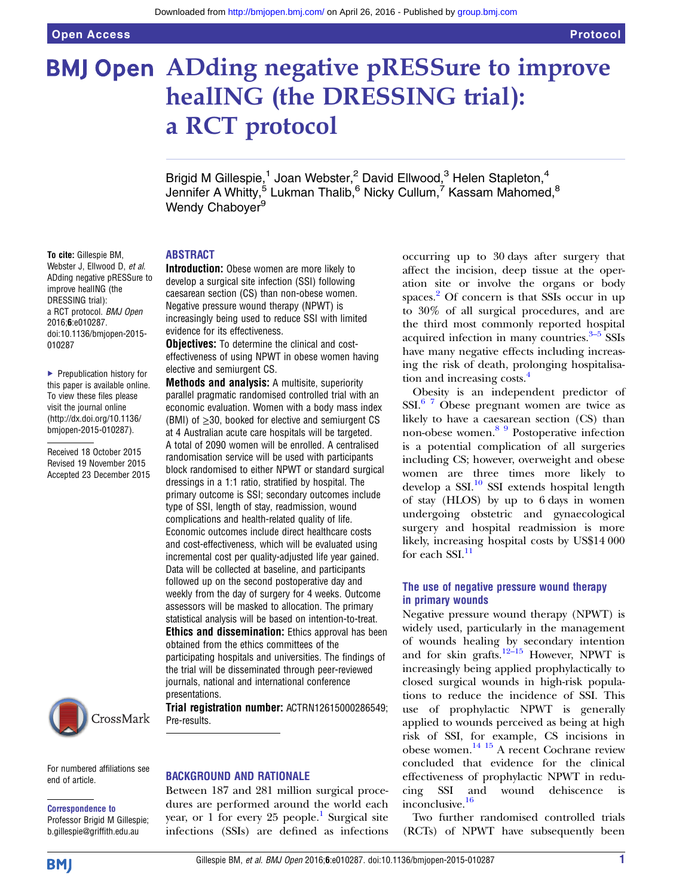# **BMJ Open ADding negative pRESSure to improve** healING (the DRESSING trial): a RCT protocol

Brigid M Gillespie,<sup>1</sup> Joan Webster,<sup>2</sup> David Ellwood,<sup>3</sup> Helen Stapleton,<sup>4</sup> Jennifer A Whitty,<sup>5</sup> Lukman Thalib,<sup>6</sup> Nicky Cullum,<sup>7</sup> Kassam Mahomed,<sup>8</sup> Wendy Chaboyer<sup>9</sup>

# ABSTRACT

To cite: Gillespie BM, Webster J, Ellwood D, et al. ADding negative pRESSure to improve healING (the DRESSING trial): a RCT protocol. BMJ Open 2016;6:e010287. doi:10.1136/bmjopen-2015- 010287

▶ Prepublication history for this paper is available online. To view these files please visit the journal online [\(http://dx.doi.org/10.1136/](http://dx.doi.org/10.1136/bmjopen-2015-010287) [bmjopen-2015-010287](http://dx.doi.org/10.1136/bmjopen-2015-010287)).

Received 18 October 2015 Revised 19 November 2015 Accepted 23 December 2015



For numbered affiliations see end of article.

# Correspondence to

Professor Brigid M Gillespie; b.gillespie@griffith.edu.au

Introduction: Obese women are more likely to develop a surgical site infection (SSI) following caesarean section (CS) than non-obese women. Negative pressure wound therapy (NPWT) is increasingly being used to reduce SSI with limited evidence for its effectiveness.

**Objectives:** To determine the clinical and costeffectiveness of using NPWT in obese women having elective and semiurgent CS.

**Methods and analysis:** A multisite, superiority parallel pragmatic randomised controlled trial with an economic evaluation. Women with a body mass index (BMI) of  $\geq$ 30, booked for elective and semiurgent CS at 4 Australian acute care hospitals will be targeted. A total of 2090 women will be enrolled. A centralised randomisation service will be used with participants block randomised to either NPWT or standard surgical dressings in a 1:1 ratio, stratified by hospital. The primary outcome is SSI; secondary outcomes include type of SSI, length of stay, readmission, wound complications and health-related quality of life. Economic outcomes include direct healthcare costs and cost-effectiveness, which will be evaluated using incremental cost per quality-adjusted life year gained. Data will be collected at baseline, and participants followed up on the second postoperative day and weekly from the day of surgery for 4 weeks. Outcome assessors will be masked to allocation. The primary statistical analysis will be based on intention-to-treat. **Ethics and dissemination:** Ethics approval has been obtained from the ethics committees of the participating hospitals and universities. The findings of the trial will be disseminated through peer-reviewed journals, national and international conference presentations.

Trial registration number: ACTRN12615000286549; Pre-results.

# BACKGROUND AND RATIONALE

Between 187 and 281 million surgical procedures are performed around the world each year, or [1](#page-8-0) for every 25 people.<sup>1</sup> Surgical site infections (SSIs) are defined as infections occurring up to 30 days after surgery that affect the incision, deep tissue at the operation site or involve the organs or body spaces.<sup>[2](#page-8-0)</sup> Of concern is that SSIs occur in up to 30% of all surgical procedures, and are the third most commonly reported hospital acquired infection in many countries. $3-5$  SSIs have many negative effects including increasing the risk of death, prolonging hospitalisa-tion and increasing costs.<sup>[4](#page-8-0)</sup>

Obesity is an independent predictor of  $SSI.<sup>6</sup>$  7 Obese pregnant women are twice as likely to have a caesarean section (CS) than non-obese women.[8 9](#page-8-0) Postoperative infection is a potential complication of all surgeries including CS; however, overweight and obese women are three times more likely to develop a SSI. $^{10}$  $^{10}$  $^{10}$  SSI extends hospital length of stay (HLOS) by up to 6 days in women undergoing obstetric and gynaecological surgery and hospital readmission is more likely, increasing hospital costs by US\$14 000 for each  $SSI$ .<sup>11</sup>

# The use of negative pressure wound therapy in primary wounds

Negative pressure wound therapy (NPWT) is widely used, particularly in the management of wounds healing by secondary intention and for skin grafts.<sup>[12](#page-8-0)–15</sup> However, NPWT is increasingly being applied prophylactically to closed surgical wounds in high-risk populations to reduce the incidence of SSI. This use of prophylactic NPWT is generally applied to wounds perceived as being at high risk of SSI, for example, CS incisions in obese women.[14 15](#page-8-0) A recent Cochrane review concluded that evidence for the clinical effectiveness of prophylactic NPWT in reducing SSI and wound dehiscence inconclusive.<sup>[16](#page-8-0)</sup>

Two further randomised controlled trials (RCTs) of NPWT have subsequently been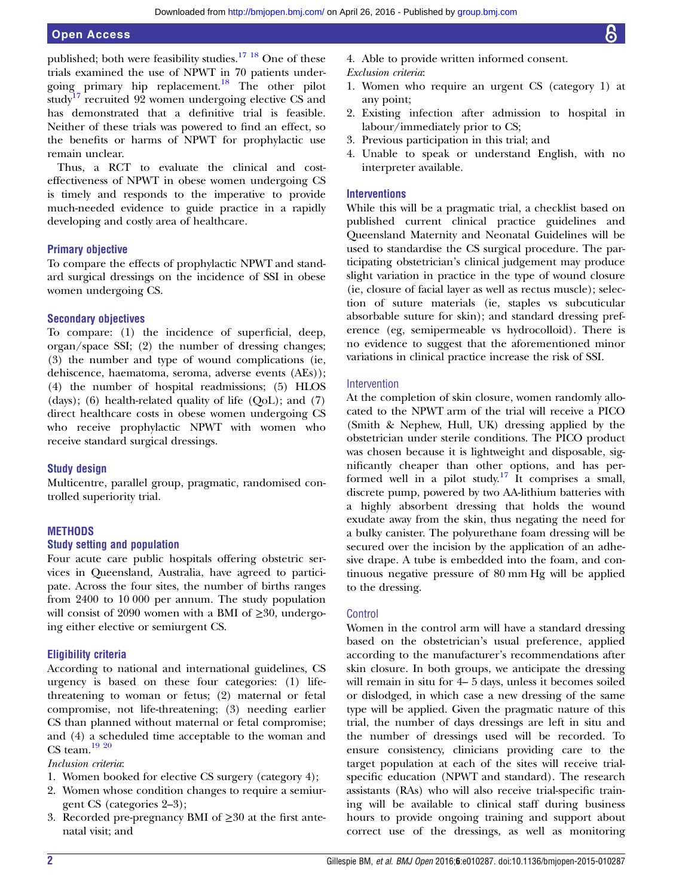published; both were feasibility studies.[17 18](#page-8-0) One of these trials examined the use of NPWT in 70 patients undergoing primary hip replacement.[18](#page-8-0) The other pilot study<sup>[17](#page-8-0)</sup> recruited 92 women undergoing elective CS and has demonstrated that a definitive trial is feasible. Neither of these trials was powered to find an effect, so the benefits or harms of NPWT for prophylactic use remain unclear.

Thus, a RCT to evaluate the clinical and costeffectiveness of NPWT in obese women undergoing CS is timely and responds to the imperative to provide much-needed evidence to guide practice in a rapidly developing and costly area of healthcare.

# Primary objective

To compare the effects of prophylactic NPWT and standard surgical dressings on the incidence of SSI in obese women undergoing CS.

# Secondary objectives

To compare: (1) the incidence of superficial, deep, organ/space SSI; (2) the number of dressing changes; (3) the number and type of wound complications (ie, dehiscence, haematoma, seroma, adverse events (AEs)); (4) the number of hospital readmissions; (5) HLOS (days); (6) health-related quality of life (QoL); and (7) direct healthcare costs in obese women undergoing CS who receive prophylactic NPWT with women who receive standard surgical dressings.

# Study design

Multicentre, parallel group, pragmatic, randomised controlled superiority trial.

# **METHODS**

# Study setting and population

Four acute care public hospitals offering obstetric services in Queensland, Australia, have agreed to participate. Across the four sites, the number of births ranges from 2400 to 10 000 per annum. The study population will consist of 2090 women with a BMI of  $\geq 30$ , undergoing either elective or semiurgent CS.

# Eligibility criteria

According to national and international guidelines, CS urgency is based on these four categories: (1) lifethreatening to woman or fetus; (2) maternal or fetal compromise, not life-threatening; (3) needing earlier CS than planned without maternal or fetal compromise; and (4) a scheduled time acceptable to the woman and CS team. $1920$ 

# Inclusion criteria:

- 1. Women booked for elective CS surgery (category 4);
- 2. Women whose condition changes to require a semiurgent CS (categories 2–3);
- 3. Recorded pre-pregnancy BMI of ≥30 at the first antenatal visit; and
- 4. Able to provide written informed consent.
- Exclusion criteria:
- 1. Women who require an urgent CS (category 1) at any point;
- 2. Existing infection after admission to hospital in labour/immediately prior to CS;
- 3. Previous participation in this trial; and
- 4. Unable to speak or understand English, with no interpreter available.

# **Interventions**

While this will be a pragmatic trial, a checklist based on published current clinical practice guidelines and Queensland Maternity and Neonatal Guidelines will be used to standardise the CS surgical procedure. The participating obstetrician's clinical judgement may produce slight variation in practice in the type of wound closure (ie, closure of facial layer as well as rectus muscle); selection of suture materials (ie, staples vs subcuticular absorbable suture for skin); and standard dressing preference (eg, semipermeable vs hydrocolloid). There is no evidence to suggest that the aforementioned minor variations in clinical practice increase the risk of SSI.

# Intervention

At the completion of skin closure, women randomly allocated to the NPWT arm of the trial will receive a PICO (Smith & Nephew, Hull, UK) dressing applied by the obstetrician under sterile conditions. The PICO product was chosen because it is lightweight and disposable, significantly cheaper than other options, and has per-formed well in a pilot study.<sup>[17](#page-8-0)</sup> It comprises a small, discrete pump, powered by two AA-lithium batteries with a highly absorbent dressing that holds the wound exudate away from the skin, thus negating the need for a bulky canister. The polyurethane foam dressing will be secured over the incision by the application of an adhesive drape. A tube is embedded into the foam, and continuous negative pressure of 80 mm Hg will be applied to the dressing.

# Control

Women in the control arm will have a standard dressing based on the obstetrician's usual preference, applied according to the manufacturer's recommendations after skin closure. In both groups, we anticipate the dressing will remain in situ for 4– 5 days, unless it becomes soiled or dislodged, in which case a new dressing of the same type will be applied. Given the pragmatic nature of this trial, the number of days dressings are left in situ and the number of dressings used will be recorded. To ensure consistency, clinicians providing care to the target population at each of the sites will receive trialspecific education (NPWT and standard). The research assistants (RAs) who will also receive trial-specific training will be available to clinical staff during business hours to provide ongoing training and support about correct use of the dressings, as well as monitoring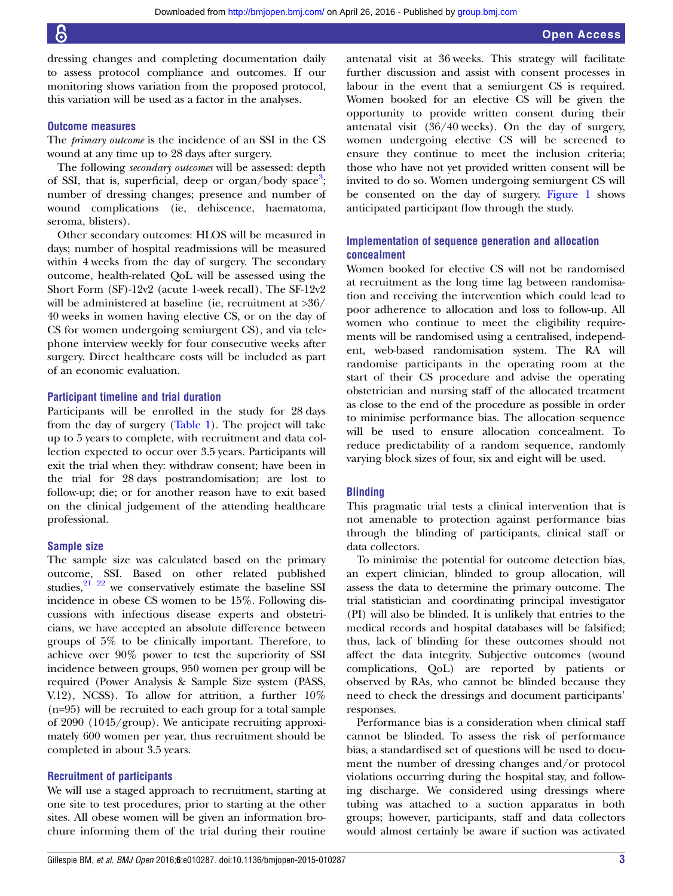dressing changes and completing documentation daily to assess protocol compliance and outcomes. If our monitoring shows variation from the proposed protocol, this variation will be used as a factor in the analyses.

# Outcome measures

The primary outcome is the incidence of an SSI in the CS wound at any time up to 28 days after surgery.

The following *secondary outcomes* will be assessed: depth of SSI, that is, superficial, deep or organ/body space<sup>[3](#page-8-0)</sup>; number of dressing changes; presence and number of wound complications (ie, dehiscence, haematoma, seroma, blisters).

Other secondary outcomes: HLOS will be measured in days; number of hospital readmissions will be measured within 4 weeks from the day of surgery. The secondary outcome, health-related QoL will be assessed using the Short Form (SF)-12v2 (acute 1-week recall). The SF-12v2 will be administered at baseline (ie, recruitment at >36/ 40 weeks in women having elective CS, or on the day of CS for women undergoing semiurgent CS), and via telephone interview weekly for four consecutive weeks after surgery. Direct healthcare costs will be included as part of an economic evaluation.

# Participant timeline and trial duration

Participants will be enrolled in the study for 28 days from the day of surgery [\(Table 1\)](#page-3-0). The project will take up to 5 years to complete, with recruitment and data collection expected to occur over 3.5 years. Participants will exit the trial when they: withdraw consent; have been in the trial for 28 days postrandomisation; are lost to follow-up; die; or for another reason have to exit based on the clinical judgement of the attending healthcare professional.

# Sample size

The sample size was calculated based on the primary outcome, SSI. Based on other related published studies, $2^{21}$   $22^{22}$  we conservatively estimate the baseline SSI incidence in obese CS women to be 15%. Following discussions with infectious disease experts and obstetricians, we have accepted an absolute difference between groups of 5% to be clinically important. Therefore, to achieve over 90% power to test the superiority of SSI incidence between groups, 950 women per group will be required (Power Analysis & Sample Size system (PASS, V.12), NCSS). To allow for attrition, a further 10% (n=95) will be recruited to each group for a total sample of 2090 (1045/group). We anticipate recruiting approximately 600 women per year, thus recruitment should be completed in about 3.5 years.

# Recruitment of participants

We will use a staged approach to recruitment, starting at one site to test procedures, prior to starting at the other sites. All obese women will be given an information brochure informing them of the trial during their routine

antenatal visit at 36 weeks. This strategy will facilitate further discussion and assist with consent processes in labour in the event that a semiurgent CS is required. Women booked for an elective CS will be given the opportunity to provide written consent during their antenatal visit (36/40 weeks). On the day of surgery, women undergoing elective CS will be screened to ensure they continue to meet the inclusion criteria; those who have not yet provided written consent will be invited to do so. Women undergoing semiurgent CS will be consented on the day of surgery. [Figure 1](#page-5-0) shows anticipated participant flow through the study.

# Implementation of sequence generation and allocation concealment

Women booked for elective CS will not be randomised at recruitment as the long time lag between randomisation and receiving the intervention which could lead to poor adherence to allocation and loss to follow-up. All women who continue to meet the eligibility requirements will be randomised using a centralised, independent, web-based randomisation system. The RA will randomise participants in the operating room at the start of their CS procedure and advise the operating obstetrician and nursing staff of the allocated treatment as close to the end of the procedure as possible in order to minimise performance bias. The allocation sequence will be used to ensure allocation concealment. To reduce predictability of a random sequence, randomly varying block sizes of four, six and eight will be used.

# Blinding

This pragmatic trial tests a clinical intervention that is not amenable to protection against performance bias through the blinding of participants, clinical staff or data collectors.

To minimise the potential for outcome detection bias, an expert clinician, blinded to group allocation, will assess the data to determine the primary outcome. The trial statistician and coordinating principal investigator (PI) will also be blinded. It is unlikely that entries to the medical records and hospital databases will be falsified; thus, lack of blinding for these outcomes should not affect the data integrity. Subjective outcomes (wound complications, QoL) are reported by patients or observed by RAs, who cannot be blinded because they need to check the dressings and document participants' responses.

Performance bias is a consideration when clinical staff cannot be blinded. To assess the risk of performance bias, a standardised set of questions will be used to document the number of dressing changes and/or protocol violations occurring during the hospital stay, and following discharge. We considered using dressings where tubing was attached to a suction apparatus in both groups; however, participants, staff and data collectors would almost certainly be aware if suction was activated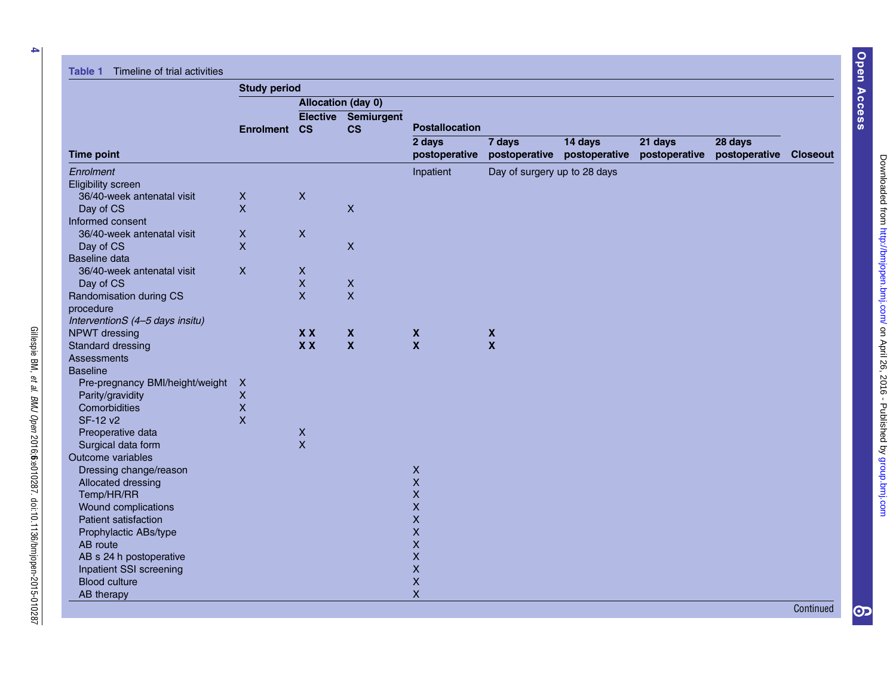Gillespie BM,

et al.

BMJ Open

2016;6:e010287. doi:10.1136/bmjopen-2015-010287

<span id="page-3-0"></span>

|                                   | <b>Study period</b> |                              |                         |                         |                              |                          |                          |                          |                 |
|-----------------------------------|---------------------|------------------------------|-------------------------|-------------------------|------------------------------|--------------------------|--------------------------|--------------------------|-----------------|
|                                   |                     | Allocation (day 0)           |                         |                         |                              |                          |                          |                          |                 |
|                                   | <b>Enrolment</b>    | <b>Elective</b><br><b>CS</b> | Semiurgent<br><b>CS</b> | <b>Postallocation</b>   |                              |                          |                          |                          |                 |
| <b>Time point</b>                 |                     |                              |                         | 2 days<br>postoperative | 7 days<br>postoperative      | 14 days<br>postoperative | 21 days<br>postoperative | 28 days<br>postoperative | <b>Closeout</b> |
| Enrolment                         |                     |                              |                         | Inpatient               | Day of surgery up to 28 days |                          |                          |                          |                 |
| <b>Eligibility screen</b>         |                     |                              |                         |                         |                              |                          |                          |                          |                 |
| 36/40-week antenatal visit        | $\boldsymbol{X}$    | $\boldsymbol{\mathsf{X}}$    |                         |                         |                              |                          |                          |                          |                 |
| Day of CS                         | $\mathsf{x}$        |                              | $\pmb{\times}$          |                         |                              |                          |                          |                          |                 |
| Informed consent                  |                     |                              |                         |                         |                              |                          |                          |                          |                 |
| 36/40-week antenatal visit        | $\pmb{\times}$      | $\boldsymbol{\mathsf{X}}$    |                         |                         |                              |                          |                          |                          |                 |
| Day of CS                         | $\mathsf{x}$        |                              | $\pmb{\times}$          |                         |                              |                          |                          |                          |                 |
| Baseline data                     |                     |                              |                         |                         |                              |                          |                          |                          |                 |
| 36/40-week antenatal visit        | $\pmb{\times}$      | $\pmb{\times}$               |                         |                         |                              |                          |                          |                          |                 |
| Day of CS                         |                     | $\mathsf X$                  | $\pmb{\times}$          |                         |                              |                          |                          |                          |                 |
| Randomisation during CS           |                     | $\mathsf{x}$                 | $\mathsf{x}$            |                         |                              |                          |                          |                          |                 |
| procedure                         |                     |                              |                         |                         |                              |                          |                          |                          |                 |
| InterventionS (4-5 days insitu)   |                     |                              |                         |                         |                              |                          |                          |                          |                 |
| NPWT dressing                     |                     | <b>XX</b>                    | $\mathbf x$             | $\pmb{\mathsf{X}}$      | $\boldsymbol{\mathsf{X}}$    |                          |                          |                          |                 |
| Standard dressing                 |                     | X X                          | $\boldsymbol{x}$        | $\mathbf{x}$            | $\boldsymbol{\mathsf{X}}$    |                          |                          |                          |                 |
| <b>Assessments</b>                |                     |                              |                         |                         |                              |                          |                          |                          |                 |
| <b>Baseline</b>                   |                     |                              |                         |                         |                              |                          |                          |                          |                 |
| Pre-pregnancy BMI/height/weight X |                     |                              |                         |                         |                              |                          |                          |                          |                 |
| Parity/gravidity                  | $\mathsf{X}$        |                              |                         |                         |                              |                          |                          |                          |                 |
| Comorbidities                     | $\mathsf{x}$        |                              |                         |                         |                              |                          |                          |                          |                 |
| SF-12 v2                          | $\mathsf{X}$        |                              |                         |                         |                              |                          |                          |                          |                 |
| Preoperative data                 |                     | $\pmb{\times}$               |                         |                         |                              |                          |                          |                          |                 |
| Surgical data form                |                     | $\mathsf{x}$                 |                         |                         |                              |                          |                          |                          |                 |
| Outcome variables                 |                     |                              |                         |                         |                              |                          |                          |                          |                 |
| Dressing change/reason            |                     |                              |                         | $\pmb{\times}$          |                              |                          |                          |                          |                 |
| Allocated dressing                |                     |                              |                         | $\mathsf X$             |                              |                          |                          |                          |                 |
| Temp/HR/RR                        |                     |                              |                         | $\pmb{\mathsf{X}}$      |                              |                          |                          |                          |                 |
| Wound complications               |                     |                              |                         | $\pmb{\mathsf{X}}$      |                              |                          |                          |                          |                 |
| <b>Patient satisfaction</b>       |                     |                              |                         | $\pmb{\mathsf{X}}$      |                              |                          |                          |                          |                 |
| Prophylactic ABs/type             |                     |                              |                         | $\pmb{\mathsf{X}}$      |                              |                          |                          |                          |                 |
| AB route                          |                     |                              |                         | $\mathsf{x}$            |                              |                          |                          |                          |                 |
| AB s 24 h postoperative           |                     |                              |                         | $\pmb{\mathsf{X}}$      |                              |                          |                          |                          |                 |
| Inpatient SSI screening           |                     |                              |                         | $\pmb{\mathsf{X}}$      |                              |                          |                          |                          |                 |
| <b>Blood culture</b>              |                     |                              |                         | $\mathsf X$             |                              |                          |                          |                          |                 |
| AB therapy                        |                     |                              |                         | $\mathsf{X}$            |                              |                          |                          |                          |                 |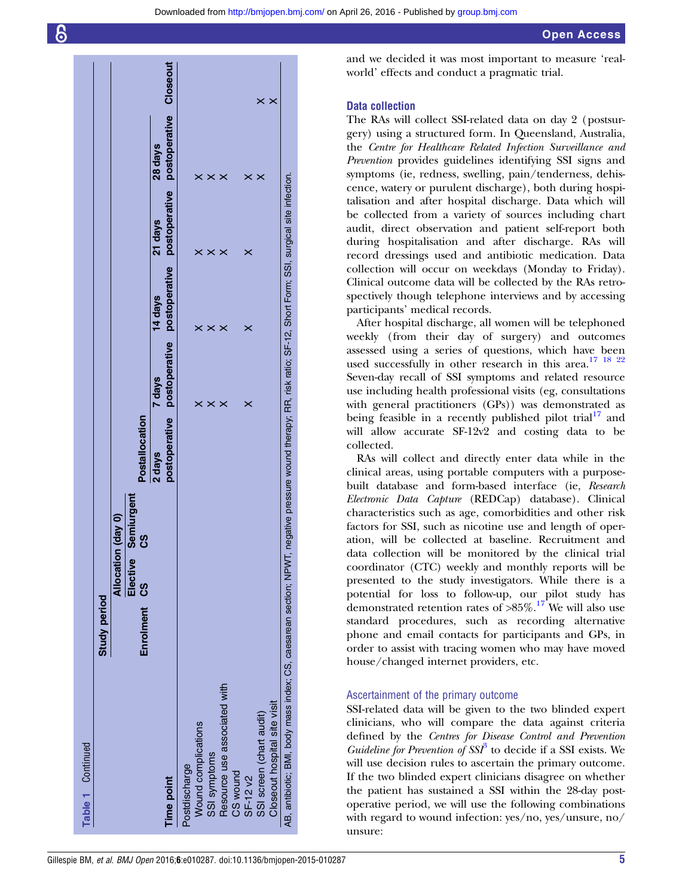|                                                                                                                                                                      | <b>Study period</b> |                    |                   |                |        |                                                      |         |                                                 |                         |
|----------------------------------------------------------------------------------------------------------------------------------------------------------------------|---------------------|--------------------|-------------------|----------------|--------|------------------------------------------------------|---------|-------------------------------------------------|-------------------------|
|                                                                                                                                                                      |                     | Allocation (day 0) |                   |                |        |                                                      |         |                                                 |                         |
|                                                                                                                                                                      | Enrolment CS        | Elective           | Semiurgent<br>ပ္ပ | Postallocation |        |                                                      |         |                                                 |                         |
| <b>Time point</b>                                                                                                                                                    |                     |                    |                   | 2 days         | 7 days | postoperative postoperative postoperative<br>14 days | 21 days | postoperative postoperative Closeout<br>28 days |                         |
| Postdischarge                                                                                                                                                        |                     |                    |                   |                |        |                                                      |         |                                                 |                         |
| Wound complications                                                                                                                                                  |                     |                    |                   |                | ×      |                                                      |         |                                                 |                         |
| SSI symptoms                                                                                                                                                         |                     |                    |                   |                | ×      | ×                                                    | ×       | ×                                               |                         |
| Resource use associated with                                                                                                                                         |                     |                    |                   |                | ×      | ×                                                    | ×       |                                                 |                         |
| CS wound                                                                                                                                                             |                     |                    |                   |                |        |                                                      |         |                                                 |                         |
| SF-12 v2                                                                                                                                                             |                     |                    |                   |                | ×      | ×                                                    | ×       | ×                                               |                         |
| SSI screen (chart audit)                                                                                                                                             |                     |                    |                   |                |        |                                                      |         | ×                                               | $\boldsymbol{\times}$   |
| Closeout hospital site visit                                                                                                                                         |                     |                    |                   |                |        |                                                      |         |                                                 | $\overline{\mathsf{x}}$ |
| AB, antibiotic; BMI, body mass index; CS, caesarean section; NPWT, negative pressure wound therapy; RR, risk ratio; SF-12, Short Form; SSI, surgical site infection. |                     |                    |                   |                |        |                                                      |         |                                                 |                         |
|                                                                                                                                                                      |                     |                    |                   |                |        |                                                      |         |                                                 |                         |

and we decided it was most important to measure 'realworld' effects and conduct a pragmatic trial.

# Data collection

The RAs will collect SSI-related data on day 2 (postsurgery) using a structured form. In Queensland, Australia, the Centre for Healthcare Related Infection Surveillance and Prevention provides guidelines identifying SSI signs and symptoms (ie, redness, swelling, pain/tenderness, dehiscence, watery or purulent discharge), both during hospitalisation and after hospital discharge. Data which will be collected from a variety of sources including chart audit, direct observation and patient self-report both during hospitalisation and after discharge. RAs will record dressings used and antibiotic medication. Data collection will occur on weekdays (Monday to Friday). Clinical outcome data will be collected by the RAs retrospectively though telephone interviews and by accessing participants' medical records.

After hospital discharge, all women will be telephoned weekly (from their day of surgery) and outcomes assessed using a series of questions, which have been used successfully in other research in this area.<sup>17</sup> <sup>18</sup> <sup>22</sup> Seven-day recall of SSI symptoms and related resource use including health professional visits (eg, consultations with general practitioners (GPs)) was demonstrated as being feasible in a recently published pilot trial<sup>[17](#page-8-0)</sup> and will allow accurate SF-12v2 and costing data to be collected.

RAs will collect and directly enter data while in the clinical areas, using portable computers with a purposebuilt database and form-based interface (ie, Research Electronic Data Capture (REDCap) database). Clinical characteristics such as age, comorbidities and other risk factors for SSI, such as nicotine use and length of operation, will be collected at baseline. Recruitment and data collection will be monitored by the clinical trial coordinator (CTC) weekly and monthly reports will be presented to the study investigators. While there is a potential for loss to follow-up, our pilot study has demonstrated retention rates of  $>85\%$ .<sup>[17](#page-8-0)</sup> We will also use standard procedures, such as recording alternative phone and email contacts for participants and GPs, in order to assist with tracing women who may have moved house/changed internet providers, etc.

# Ascertainment of the primary outcome

SSI-related data will be given to the two blinded expert clinicians, who will compare the data against criteria defined by the Centres for Disease Control and Prevention Guideline for Prevention of  $SSI^3$  $SSI^3$  to decide if a SSI exists. We will use decision rules to ascertain the primary outcome. If the two blinded expert clinicians disagree on whether the patient has sustained a SSI within the 28-day postoperative period, we will use the following combinations with regard to wound infection: yes/no, yes/unsure, no/ unsure: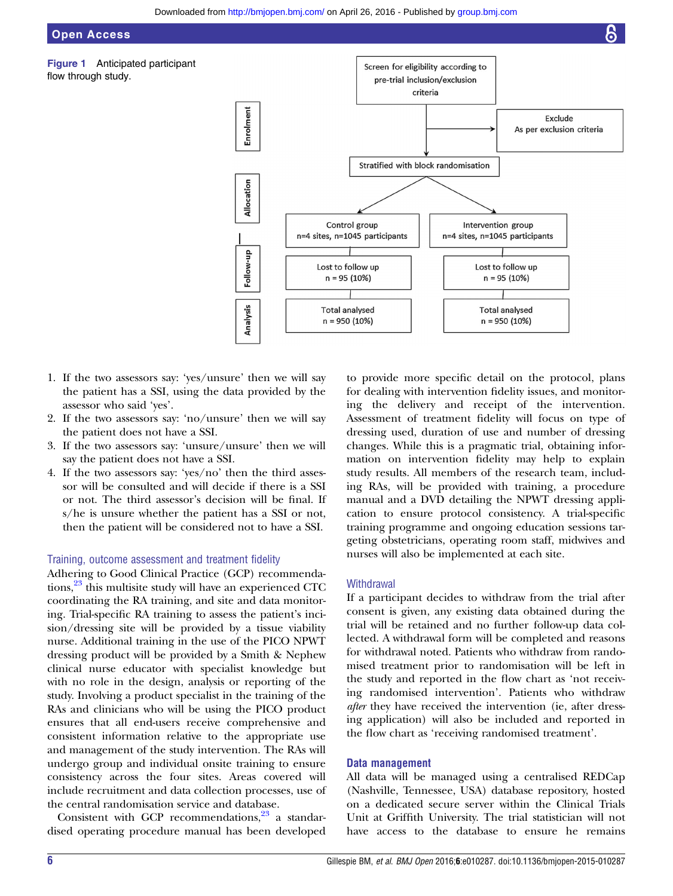# <span id="page-5-0"></span>Open Access

Figure 1 Anticipated participant flow through study.



- 1. If the two assessors say: 'yes/unsure' then we will say the patient has a SSI, using the data provided by the assessor who said 'yes'.
- 2. If the two assessors say: 'no/unsure' then we will say the patient does not have a SSI.
- 3. If the two assessors say: 'unsure/unsure' then we will say the patient does not have a SSI.
- 4. If the two assessors say: 'yes/no' then the third assessor will be consulted and will decide if there is a SSI or not. The third assessor's decision will be final. If s/he is unsure whether the patient has a SSI or not, then the patient will be considered not to have a SSI.

# Training, outcome assessment and treatment fidelity

Adhering to Good Clinical Practice (GCP) recommendations,<sup>23</sup> this multisite study will have an experienced CTC coordinating the RA training, and site and data monitoring. Trial-specific RA training to assess the patient's incision/dressing site will be provided by a tissue viability nurse. Additional training in the use of the PICO NPWT dressing product will be provided by a Smith & Nephew clinical nurse educator with specialist knowledge but with no role in the design, analysis or reporting of the study. Involving a product specialist in the training of the RAs and clinicians who will be using the PICO product ensures that all end-users receive comprehensive and consistent information relative to the appropriate use and management of the study intervention. The RAs will undergo group and individual onsite training to ensure consistency across the four sites. Areas covered will include recruitment and data collection processes, use of the central randomisation service and database.

Consistent with GCP recommendations, $2^3$  a standardised operating procedure manual has been developed

to provide more specific detail on the protocol, plans for dealing with intervention fidelity issues, and monitoring the delivery and receipt of the intervention. Assessment of treatment fidelity will focus on type of dressing used, duration of use and number of dressing changes. While this is a pragmatic trial, obtaining information on intervention fidelity may help to explain study results. All members of the research team, including RAs, will be provided with training, a procedure manual and a DVD detailing the NPWT dressing application to ensure protocol consistency. A trial-specific training programme and ongoing education sessions targeting obstetricians, operating room staff, midwives and nurses will also be implemented at each site.

# **Withdrawal**

If a participant decides to withdraw from the trial after consent is given, any existing data obtained during the trial will be retained and no further follow-up data collected. A withdrawal form will be completed and reasons for withdrawal noted. Patients who withdraw from randomised treatment prior to randomisation will be left in the study and reported in the flow chart as 'not receiving randomised intervention'. Patients who withdraw after they have received the intervention (ie, after dressing application) will also be included and reported in the flow chart as 'receiving randomised treatment'.

# Data management

All data will be managed using a centralised REDCap (Nashville, Tennessee, USA) database repository, hosted on a dedicated secure server within the Clinical Trials Unit at Griffith University. The trial statistician will not have access to the database to ensure he remains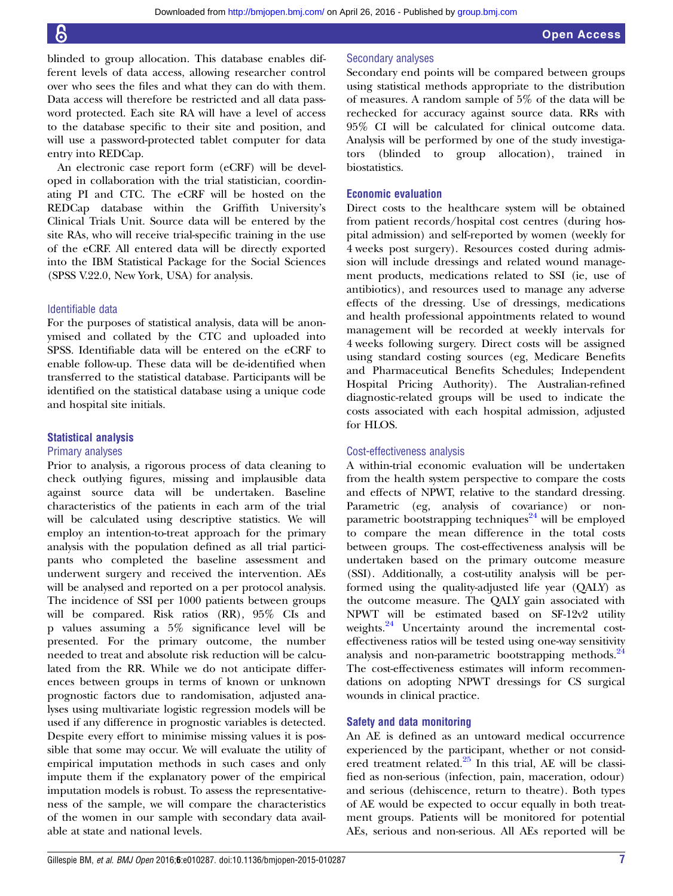blinded to group allocation. This database enables different levels of data access, allowing researcher control over who sees the files and what they can do with them. Data access will therefore be restricted and all data password protected. Each site RA will have a level of access to the database specific to their site and position, and will use a password-protected tablet computer for data entry into REDCap.

An electronic case report form (eCRF) will be developed in collaboration with the trial statistician, coordinating PI and CTC. The eCRF will be hosted on the REDCap database within the Griffith University's Clinical Trials Unit. Source data will be entered by the site RAs, who will receive trial-specific training in the use of the eCRF. All entered data will be directly exported into the IBM Statistical Package for the Social Sciences (SPSS V.22.0, New York, USA) for analysis.

# Identifiable data

For the purposes of statistical analysis, data will be anonymised and collated by the CTC and uploaded into SPSS. Identifiable data will be entered on the eCRF to enable follow-up. These data will be de-identified when transferred to the statistical database. Participants will be identified on the statistical database using a unique code and hospital site initials.

# Statistical analysis

# Primary analyses

Prior to analysis, a rigorous process of data cleaning to check outlying figures, missing and implausible data against source data will be undertaken. Baseline characteristics of the patients in each arm of the trial will be calculated using descriptive statistics. We will employ an intention-to-treat approach for the primary analysis with the population defined as all trial participants who completed the baseline assessment and underwent surgery and received the intervention. AEs will be analysed and reported on a per protocol analysis. The incidence of SSI per 1000 patients between groups will be compared. Risk ratios (RR), 95% CIs and p values assuming a 5% significance level will be presented. For the primary outcome, the number needed to treat and absolute risk reduction will be calculated from the RR. While we do not anticipate differences between groups in terms of known or unknown prognostic factors due to randomisation, adjusted analyses using multivariate logistic regression models will be used if any difference in prognostic variables is detected. Despite every effort to minimise missing values it is possible that some may occur. We will evaluate the utility of empirical imputation methods in such cases and only impute them if the explanatory power of the empirical imputation models is robust. To assess the representativeness of the sample, we will compare the characteristics of the women in our sample with secondary data available at state and national levels.

# Secondary analyses

Secondary end points will be compared between groups using statistical methods appropriate to the distribution of measures. A random sample of 5% of the data will be rechecked for accuracy against source data. RRs with 95% CI will be calculated for clinical outcome data. Analysis will be performed by one of the study investigators (blinded to group allocation), trained in biostatistics.

# Economic evaluation

Direct costs to the healthcare system will be obtained from patient records/hospital cost centres (during hospital admission) and self-reported by women (weekly for 4 weeks post surgery). Resources costed during admission will include dressings and related wound management products, medications related to SSI (ie, use of antibiotics), and resources used to manage any adverse effects of the dressing. Use of dressings, medications and health professional appointments related to wound management will be recorded at weekly intervals for 4 weeks following surgery. Direct costs will be assigned using standard costing sources (eg, Medicare Benefits and Pharmaceutical Benefits Schedules; Independent Hospital Pricing Authority). The Australian-refined diagnostic-related groups will be used to indicate the costs associated with each hospital admission, adjusted for HLOS.

### Cost-effectiveness analysis

A within-trial economic evaluation will be undertaken from the health system perspective to compare the costs and effects of NPWT, relative to the standard dressing. Parametric (eg, analysis of covariance) or non-parametric bootstrapping techniques<sup>[24](#page-8-0)</sup> will be employed to compare the mean difference in the total costs between groups. The cost-effectiveness analysis will be undertaken based on the primary outcome measure (SSI). Additionally, a cost-utility analysis will be performed using the quality-adjusted life year (QALY) as the outcome measure. The QALY gain associated with NPWT will be estimated based on SF-12v2 utility weights.<sup>[24](#page-8-0)</sup> Uncertainty around the incremental costeffectiveness ratios will be tested using one-way sensitivity analysis and non-parametric bootstrapping methods.<sup>[24](#page-8-0)</sup> The cost-effectiveness estimates will inform recommendations on adopting NPWT dressings for CS surgical wounds in clinical practice.

# Safety and data monitoring

An AE is defined as an untoward medical occurrence experienced by the participant, whether or not considered treatment related.<sup>25</sup> In this trial, AE will be classified as non-serious (infection, pain, maceration, odour) and serious (dehiscence, return to theatre). Both types of AE would be expected to occur equally in both treatment groups. Patients will be monitored for potential AEs, serious and non-serious. All AEs reported will be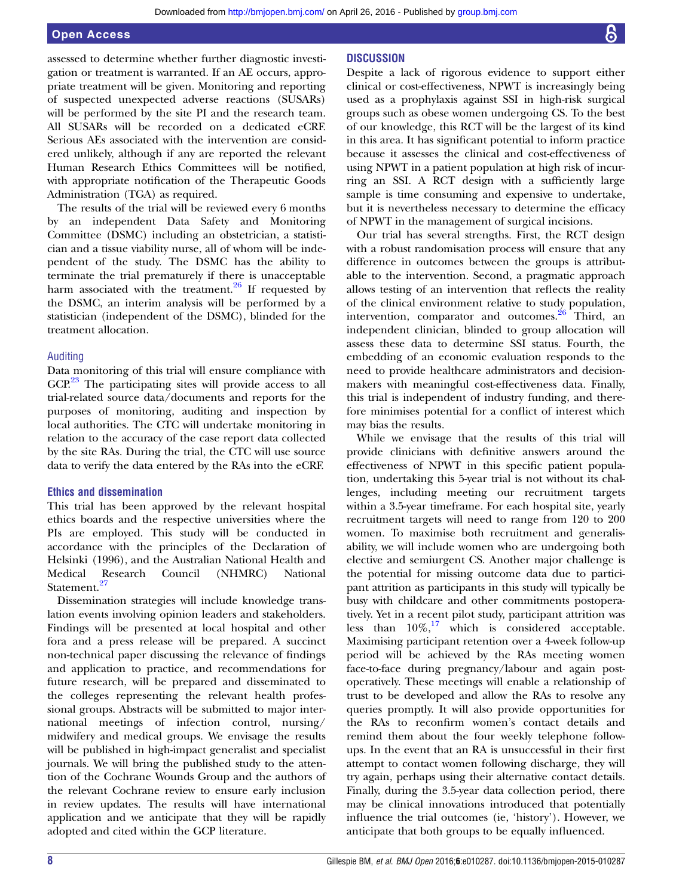assessed to determine whether further diagnostic investigation or treatment is warranted. If an AE occurs, appropriate treatment will be given. Monitoring and reporting of suspected unexpected adverse reactions (SUSARs) will be performed by the site PI and the research team. All SUSARs will be recorded on a dedicated eCRF. Serious AEs associated with the intervention are considered unlikely, although if any are reported the relevant Human Research Ethics Committees will be notified, with appropriate notification of the Therapeutic Goods Administration (TGA) as required.

The results of the trial will be reviewed every 6 months by an independent Data Safety and Monitoring Committee (DSMC) including an obstetrician, a statistician and a tissue viability nurse, all of whom will be independent of the study. The DSMC has the ability to terminate the trial prematurely if there is unacceptable harm associated with the treatment. $26$  If requested by the DSMC, an interim analysis will be performed by a statistician (independent of the DSMC), blinded for the treatment allocation.

# Auditing

Data monitoring of this trial will ensure compliance with GCP.<sup>[23](#page-8-0)</sup> The participating sites will provide access to all trial-related source data/documents and reports for the purposes of monitoring, auditing and inspection by local authorities. The CTC will undertake monitoring in relation to the accuracy of the case report data collected by the site RAs. During the trial, the CTC will use source data to verify the data entered by the RAs into the eCRF.

# Ethics and dissemination

This trial has been approved by the relevant hospital ethics boards and the respective universities where the PIs are employed. This study will be conducted in accordance with the principles of the Declaration of Helsinki (1996), and the Australian National Health and Medical Research Council (NHMRC) National Statement.<sup>[27](#page-8-0)</sup>

Dissemination strategies will include knowledge translation events involving opinion leaders and stakeholders. Findings will be presented at local hospital and other fora and a press release will be prepared. A succinct non-technical paper discussing the relevance of findings and application to practice, and recommendations for future research, will be prepared and disseminated to the colleges representing the relevant health professional groups. Abstracts will be submitted to major international meetings of infection control, nursing/ midwifery and medical groups. We envisage the results will be published in high-impact generalist and specialist journals. We will bring the published study to the attention of the Cochrane Wounds Group and the authors of the relevant Cochrane review to ensure early inclusion in review updates. The results will have international application and we anticipate that they will be rapidly adopted and cited within the GCP literature.

# **DISCUSSION**

Despite a lack of rigorous evidence to support either clinical or cost-effectiveness, NPWT is increasingly being used as a prophylaxis against SSI in high-risk surgical groups such as obese women undergoing CS. To the best of our knowledge, this RCT will be the largest of its kind in this area. It has significant potential to inform practice because it assesses the clinical and cost-effectiveness of using NPWT in a patient population at high risk of incurring an SSI. A RCT design with a sufficiently large sample is time consuming and expensive to undertake, but it is nevertheless necessary to determine the efficacy of NPWT in the management of surgical incisions.

Our trial has several strengths. First, the RCT design with a robust randomisation process will ensure that any difference in outcomes between the groups is attributable to the intervention. Second, a pragmatic approach allows testing of an intervention that reflects the reality of the clinical environment relative to study population, intervention, comparator and outcomes.<sup>[26](#page-8-0)</sup> Third, an independent clinician, blinded to group allocation will assess these data to determine SSI status. Fourth, the embedding of an economic evaluation responds to the need to provide healthcare administrators and decisionmakers with meaningful cost-effectiveness data. Finally, this trial is independent of industry funding, and therefore minimises potential for a conflict of interest which may bias the results.

While we envisage that the results of this trial will provide clinicians with definitive answers around the effectiveness of NPWT in this specific patient population, undertaking this 5-year trial is not without its challenges, including meeting our recruitment targets within a 3.5-year timeframe. For each hospital site, yearly recruitment targets will need to range from 120 to 200 women. To maximise both recruitment and generalisability, we will include women who are undergoing both elective and semiurgent CS. Another major challenge is the potential for missing outcome data due to participant attrition as participants in this study will typically be busy with childcare and other commitments postoperatively. Yet in a recent pilot study, participant attrition was less than  $10\%,^{17}$  $10\%,^{17}$  $10\%,^{17}$  which is considered acceptable. Maximising participant retention over a 4-week follow-up period will be achieved by the RAs meeting women face-to-face during pregnancy/labour and again postoperatively. These meetings will enable a relationship of trust to be developed and allow the RAs to resolve any queries promptly. It will also provide opportunities for the RAs to reconfirm women's contact details and remind them about the four weekly telephone followups. In the event that an RA is unsuccessful in their first attempt to contact women following discharge, they will try again, perhaps using their alternative contact details. Finally, during the 3.5-year data collection period, there may be clinical innovations introduced that potentially influence the trial outcomes (ie, 'history'). However, we anticipate that both groups to be equally influenced.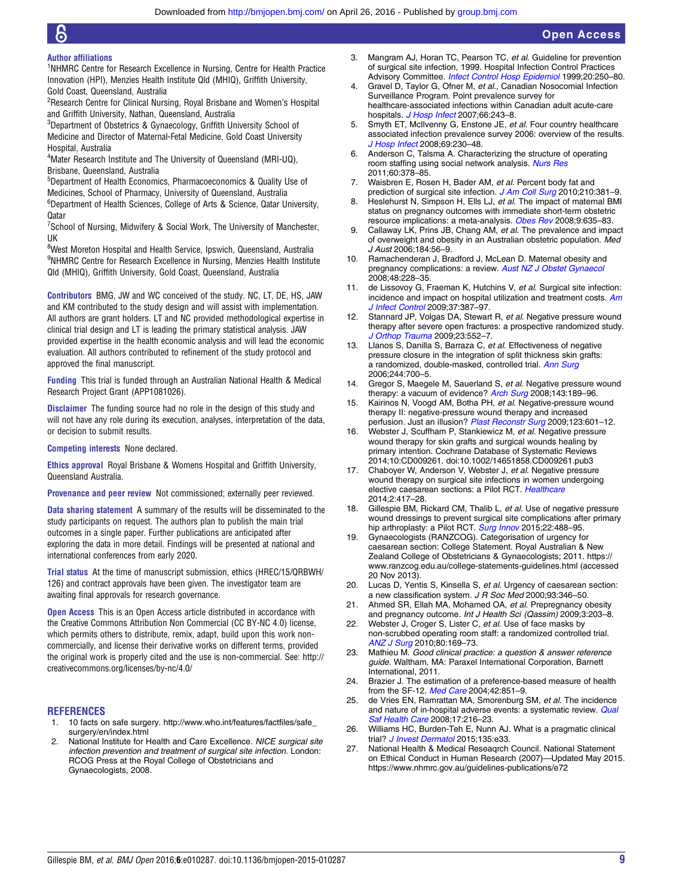#### <span id="page-8-0"></span>Author affiliations

<sup>1</sup>NHMRC Centre for Research Excellence in Nursing, Centre for Health Practice Innovation (HPI), Menzies Health Institute Qld (MHIQ), Griffith University, Gold Coast, Queensland, Australia

<sup>2</sup>Research Centre for Clinical Nursing, Royal Brisbane and Women's Hospital and Griffith University, Nathan, Queensland, Australia

3 Department of Obstetrics & Gynaecology, Griffith University School of Medicine and Director of Maternal-Fetal Medicine, Gold Coast University Hospital, Australia

<sup>4</sup>Mater Research Institute and The University of Queensland (MRI-UQ), Brisbane, Queensland, Australia

5 Department of Health Economics, Pharmacoeconomics & Quality Use of Medicines, School of Pharmacy, University of Queensland, Australia

<sup>6</sup>Department of Health Sciences, College of Arts & Science, Qatar University, **Oatar** 

<sup>7</sup>School of Nursing, Midwifery & Social Work, The University of Manchester, UK

<sup>8</sup>West Moreton Hospital and Health Service, Ipswich, Queensland, Australia 9 NHMRC Centre for Research Excellence in Nursing, Menzies Health Institute Qld (MHIQ), Griffith University, Gold Coast, Queensland, Australia

Contributors BMG, JW and WC conceived of the study. NC, LT, DE, HS, JAW and KM contributed to the study design and will assist with implementation. All authors are grant holders. LT and NC provided methodological expertise in clinical trial design and LT is leading the primary statistical analysis. JAW provided expertise in the health economic analysis and will lead the economic evaluation. All authors contributed to refinement of the study protocol and approved the final manuscript.

Funding This trial is funded through an Australian National Health & Medical Research Project Grant (APP1081026).

Disclaimer The funding source had no role in the design of this study and will not have any role during its execution, analyses, interpretation of the data, or decision to submit results.

Competing interests None declared.

Ethics approval Royal Brisbane & Womens Hospital and Griffith University, Queensland Australia.

Provenance and peer review Not commissioned; externally peer reviewed.

Data sharing statement A summary of the results will be disseminated to the study participants on request. The authors plan to publish the main trial outcomes in a single paper. Further publications are anticipated after exploring the data in more detail. Findings will be presented at national and international conferences from early 2020.

Trial status At the time of manuscript submission, ethics (HREC/15/QRBWH/ 126) and contract approvals have been given. The investigator team are awaiting final approvals for research governance.

**Open Access** This is an Open Access article distributed in accordance with the Creative Commons Attribution Non Commercial (CC BY-NC 4.0) license, which permits others to distribute, remix, adapt, build upon this work noncommercially, and license their derivative works on different terms, provided the original work is properly cited and the use is non-commercial. See: [http://](http://creativecommons.org/licenses/by-nc/4.0/) [creativecommons.org/licenses/by-nc/4.0/](http://creativecommons.org/licenses/by-nc/4.0/)

# **REFERENCES**

- 1. 10 facts on safe surgery. [http://www.who.int/features/factfiles/safe\\_](http://www.who.int/features/factfiles/safe_surgery/en/index.html) [surgery/en/index.html](http://www.who.int/features/factfiles/safe_surgery/en/index.html)
- 2. National Institute for Health and Care Excellence. NICE surgical site infection prevention and treatment of surgical site infection. London: RCOG Press at the Royal College of Obstetricians and Gynaecologists, 2008.
- 3. Mangram AJ, Horan TC, Pearson TC, et al. Guideline for prevention of surgical site infection, 1999. Hospital Infection Control Practices Advisory Committee. [Infect Control Hosp Epidemiol](http://dx.doi.org/10.1086/501620) 1999;20:250–80.
- 4. Gravel D, Taylor G, Ofner M, et al., Canadian Nosocomial Infection Surveillance Program. Point prevalence survey for healthcare-associated infections within Canadian adult acute-care hospitals. [J Hosp Infect](http://dx.doi.org/10.1016/j.jhin.2007.04.008) 2007;66:243-8.
- 5. Smyth ET, McIlvenny G, Enstone JE, et al. Four country healthcare associated infection prevalence survey 2006: overview of the results. [J Hosp Infect](http://dx.doi.org/10.1016/j.jhin.2008.04.020) 2008;69:230–48.
- 6. Anderson C, Talsma A. Characterizing the structure of operating room staffing using social network analysis. [Nurs Res](http://dx.doi.org/10.1097/NNR.0b013e3182337d97) 2011;60:378–85.
- 7. Waisbren E, Rosen H, Bader AM, et al. Percent body fat and prediction of surgical site infection. [J Am Coll Surg](http://dx.doi.org/10.1016/j.jamcollsurg.2010.01.004) 2010;210:381-9.
- Heslehurst N, Simpson H, Ells LJ, et al. The impact of maternal BMI status on pregnancy outcomes with immediate short-term obstetric resource implications: a meta-analysis. [Obes Rev](http://dx.doi.org/10.1111/j.1467-789X.2008.00511.x) 2008;9:635-83.
- 9. Callaway LK, Prins JB, Chang AM, et al. The prevalence and impact of overweight and obesity in an Australian obstetric population. Med J Aust 2006;184:56–9.
- 10. Ramachenderan J, Bradford J, McLean D. Maternal obesity and pregnancy complications: a review. [Aust NZ J Obstet Gynaecol](http://dx.doi.org/10.1111/j.1479-828X.2008.00860.x) 2008;48:228–35.
- 11. de Lissovoy G, Fraeman K, Hutchins V, et al. Surgical site infection: incidence and impact on hospital utilization and treatment costs. [Am](http://dx.doi.org/10.1016/j.ajic.2008.12.010) [J Infect Control](http://dx.doi.org/10.1016/j.ajic.2008.12.010) 2009;37:387–97.
- 12. Stannard JP, Volgas DA, Stewart R, et al. Negative pressure wound therapy after severe open fractures: a prospective randomized study. [J Orthop Trauma](http://dx.doi.org/10.1097/BOT.0b013e3181a2e2b6) 2009;23:552–7.
- 13. Llanos S, Danilla S, Barraza C, et al. Effectiveness of negative pressure closure in the integration of split thickness skin grafts: a randomized, double-masked, controlled trial. [Ann Surg](http://dx.doi.org/10.1097/01.sla.0000217745.56657.e5) 2006;244:700–5.
- 14. Gregor S, Maegele M, Sauerland S, et al. Negative pressure wound therapy: a vacuum of evidence? [Arch Surg](http://dx.doi.org/10.1001/archsurg.2007.54) 2008;143:189-96
- 15. Kairinos N, Voogd AM, Botha PH, et al. Negative-pressure wound therapy II: negative-pressure wound therapy and increased perfusion. Just an illusion? [Plast Reconstr Surg](http://dx.doi.org/10.1097/PRS.0b013e318196b97b) 2009;123:601-12.
- 16. Webster J, Scuffham P, Stankiewicz M, et al. Negative pressure wound therapy for skin grafts and surgical wounds healing by primary intention. Cochrane Database of Systematic Reviews 2014;10:CD009261. doi:10.1002/14651858.CD009261.pub3
- 17. Chaboyer W, Anderson V, Webster J, et al. Negative pressure wound therapy on surgical site infections in women undergoing elective caesarean sections: a Pilot RCT. [Healthcare](http://dx.doi.org/10.3390/healthcare2040417) 2014;2:417–28.
- 18. Gillespie BM, Rickard CM, Thalib L, et al. Use of negative pressure wound dressings to prevent surgical site complications after primary hip arthroplasty: a Pilot RCT. [Surg Innov](http://dx.doi.org/10.1177/1553350615573583) 2015;22:488-95.
- 19. Gynaecologists (RANZCOG). Categorisation of urgency for caesarean section: College Statement. Royal Australian & New Zealand College of Obstetricians & Gynaecologists; 2011. [https://](https://www.ranzcog.edu.au/college-statements-guidelines.html) [www.ranzcog.edu.au/college-statements-guidelines.html](https://www.ranzcog.edu.au/college-statements-guidelines.html) (accessed 20 Nov 2013).
- 20. Lucas D, Yentis S, Kinsella S, et al. Urgency of caesarean section: a new classification system. J R Soc Med 2000;93:346-50.
- 21. Ahmed SR, Ellah MA, Mohamed OA, et al. Prepregnancy obesity and pregnancy outcome. Int J Health Sci (Qassim) 2009;3:203–8.
- 22. Webster J, Croger S, Lister C, et al. Use of face masks by non-scrubbed operating room staff: a randomized controlled trial. [ANZ J Surg](http://dx.doi.org/10.1111/j.1445-2197.2009.05200.x) 2010;80:169–73.
- 23. Mathieu M. Good clinical practice: a question & answer reference guide. Waltham, MA: Paraxel International Corporation, Barnett International, 2011.
- 24. Brazier J. The estimation of a preference-based measure of health from the SF-12. [Med Care](http://dx.doi.org/10.1097/01.mlr.0000135827.18610.0d) 2004;42:851-9.
- 25. de Vries EN, Ramrattan MA, Smorenburg SM, et al. The incidence and nature of in-hospital adverse events: a systematic review. [Qual](http://dx.doi.org/10.1136/qshc.2007.023622) [Saf Health Care](http://dx.doi.org/10.1136/qshc.2007.023622) 2008;17:216–23.
- 26. Williams HC, Burden-Teh E, Nunn AJ. What is a pragmatic clinical trial? [J Invest Dermatol](http://dx.doi.org/10.1038/jid.2015.134) 2015;135:e33.
- 27. National Health & Medical Reseaqrch Council. National Statement on Ethical Conduct in Human Research (2007)—Updated May 2015. <https://www.nhmrc.gov.au/guidelines-publications/e72>